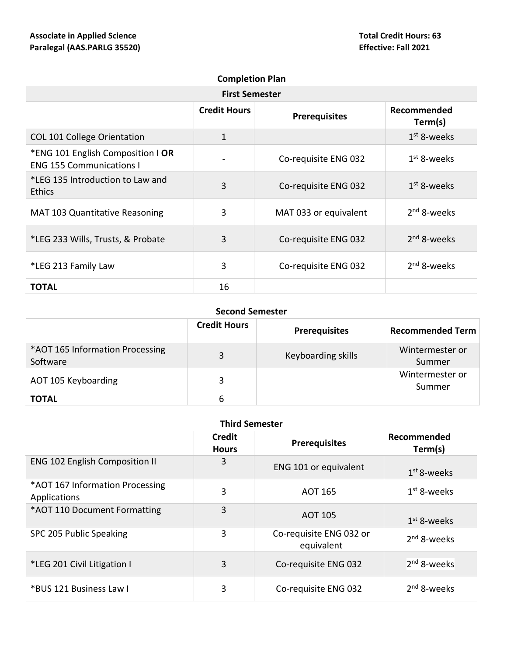| <b>Completion Plan</b>                                               |                     |                       |                        |
|----------------------------------------------------------------------|---------------------|-----------------------|------------------------|
| <b>First Semester</b>                                                |                     |                       |                        |
|                                                                      | <b>Credit Hours</b> | <b>Prerequisites</b>  | Recommended<br>Term(s) |
| <b>COL 101 College Orientation</b>                                   | 1                   |                       | $1st$ 8-weeks          |
| *ENG 101 English Composition   OR<br><b>ENG 155 Communications I</b> |                     | Co-requisite ENG 032  | $1st$ 8-weeks          |
| *LEG 135 Introduction to Law and<br><b>Ethics</b>                    | 3                   | Co-requisite ENG 032  | $1st$ 8-weeks          |
| <b>MAT 103 Quantitative Reasoning</b>                                | 3                   | MAT 033 or equivalent | $2nd$ 8-weeks          |
| *LEG 233 Wills, Trusts, & Probate                                    | 3                   | Co-requisite ENG 032  | $2nd$ 8-weeks          |
| *LEG 213 Family Law                                                  | 3                   | Co-requisite ENG 032  | $2nd$ 8-weeks          |
| <b>TOTAL</b>                                                         | 16                  |                       |                        |

## **Second Semester**

|                                             | <b>Credit Hours</b> | <b>Prerequisites</b> | <b>Recommended Term</b>   |
|---------------------------------------------|---------------------|----------------------|---------------------------|
| *AOT 165 Information Processing<br>Software | 3                   | Keyboarding skills   | Wintermester or<br>Summer |
| AOT 105 Keyboarding                         | 3                   |                      | Wintermester or<br>Summer |
| <b>TOTAL</b>                                | 6                   |                      |                           |

|  | <b>Third Semester</b> |
|--|-----------------------|
|--|-----------------------|

|                                                 | Credit<br><b>Hours</b> | <b>Prerequisites</b>                  | Recommended<br>Term(s)  |
|-------------------------------------------------|------------------------|---------------------------------------|-------------------------|
| <b>ENG 102 English Composition II</b>           | 3                      | ENG 101 or equivalent                 | $1st$ 8-weeks           |
| *AOT 167 Information Processing<br>Applications | 3                      | <b>AOT 165</b>                        | $1st$ 8-weeks           |
| *AOT 110 Document Formatting                    | 3                      | <b>AOT 105</b>                        | $1st$ 8-weeks           |
| SPC 205 Public Speaking                         | 3                      | Co-requisite ENG 032 or<br>equivalent | 2 <sup>nd</sup> 8-weeks |
| *LEG 201 Civil Litigation I                     | 3                      | Co-requisite ENG 032                  | 2 <sup>nd</sup> 8-weeks |
| *BUS 121 Business Law I                         | 3                      | Co-requisite ENG 032                  | $2nd$ 8-weeks           |